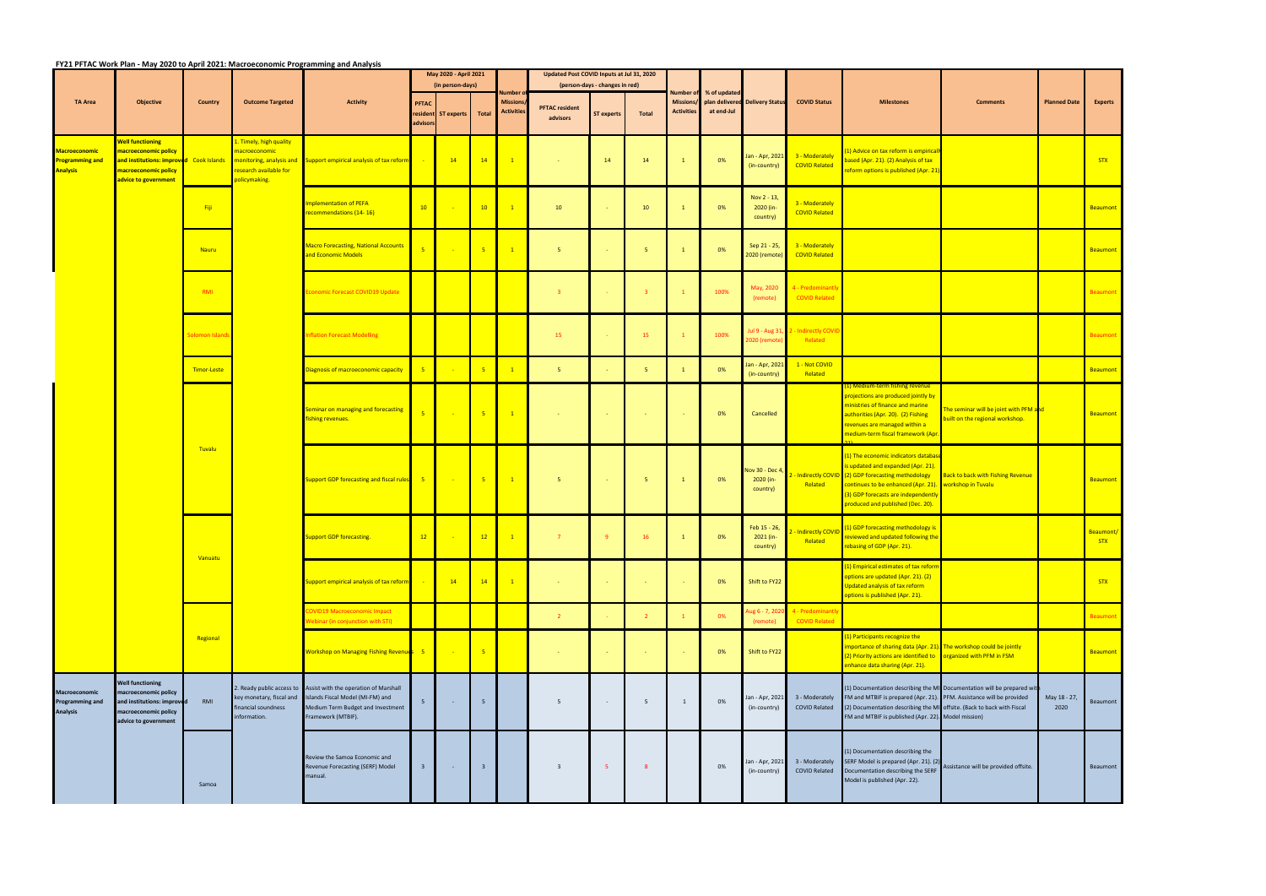**FY21 PFTAC Work Plan ‐ May 2020 to April 2021: Macroeconomic Programming and Analysis**

|                                                                   |                                                                                                                               |                 |                                                                                     |                                                                                                                                                                | May 2020 - April 2021                                                 |                           |                         |                                      | Updated Post COVID Inputs at Jul 31, 2020 |                                |                |                                      |              |                                          |                                           |                                                                                                                                                                                                                                                                       |                                                                                                                                                                                                                         |                                                                           |                         |                 |
|-------------------------------------------------------------------|-------------------------------------------------------------------------------------------------------------------------------|-----------------|-------------------------------------------------------------------------------------|----------------------------------------------------------------------------------------------------------------------------------------------------------------|-----------------------------------------------------------------------|---------------------------|-------------------------|--------------------------------------|-------------------------------------------|--------------------------------|----------------|--------------------------------------|--------------|------------------------------------------|-------------------------------------------|-----------------------------------------------------------------------------------------------------------------------------------------------------------------------------------------------------------------------------------------------------------------------|-------------------------------------------------------------------------------------------------------------------------------------------------------------------------------------------------------------------------|---------------------------------------------------------------------------|-------------------------|-----------------|
|                                                                   | <b>Objective</b>                                                                                                              | <b>Country</b>  | <b>Outcome Targeted</b>                                                             | <b>Activity</b>                                                                                                                                                |                                                                       | (in person-days)          |                         | <b>\umber</b>                        |                                           | (person-days - changes in red) |                | Number of                            | % of updated |                                          |                                           |                                                                                                                                                                                                                                                                       |                                                                                                                                                                                                                         |                                                                           |                         |                 |
| <b>TA Area</b>                                                    |                                                                                                                               |                 |                                                                                     |                                                                                                                                                                | <b>PFTAC</b><br>advisors                                              | resident ST experts Total |                         | <b>Missions</b><br><b>Activities</b> | <b>PFTAC resident</b><br>advisors         | <b>ST experts</b>              | Total          | <b>Missions</b><br><b>Activities</b> | at end-Jul   | plan delivered Delivery Status           | <b>COVID Status</b>                       | <b>Milestones</b>                                                                                                                                                                                                                                                     | <b>Comments</b>                                                                                                                                                                                                         | <b>Planned Date</b>                                                       | <b>Experts</b>          |                 |
| <b>Macroeconomic</b><br><b>Programming and</b><br><b>Analysis</b> | <b>Well functioning</b><br>macroeconomic policy<br>macroeconomic policy<br>advice to government                               |                 | 1. Timely, high quality<br>macroeconomic<br>research available for<br>policymaking. | and institutions: improved Cook Islands monitoring, analysis and Support empirical analysis of tax reform.                                                     |                                                                       | 14                        | 14                      | $\mathbf{1}$                         | - 1                                       | 14                             | 14             |                                      | 0%           | Jan - Apr, 2021<br>(in-country)          | 3 - Moderately<br><b>COVID Related</b>    | 1) Advice on tax reform is empirical<br>vased (Apr. 21). (2) Analysis of tax<br>eform options is published (Apr. 21)                                                                                                                                                  |                                                                                                                                                                                                                         |                                                                           | <b>STX</b>              |                 |
|                                                                   |                                                                                                                               | Fiji            |                                                                                     | <b>Implementation of PEFA</b><br>recommendations (14-16)                                                                                                       | 10                                                                    |                           | 10                      | $\overline{1}$                       | 10                                        |                                | 10             |                                      | 0%           | Nov 2 - 13,<br>2020 (in-<br>country)     | 3 - Moderately<br><b>COVID Related</b>    |                                                                                                                                                                                                                                                                       |                                                                                                                                                                                                                         |                                                                           | Beaumont                |                 |
|                                                                   |                                                                                                                               | Nauru           |                                                                                     | <b>Macro Forecasting, National Accounts</b><br>and Economic Models                                                                                             |                                                                       |                           | 5 <sub>5</sub>          | $\sqrt{1}$                           | -5                                        |                                | 5 <sub>1</sub> |                                      | 0%           | Sep 21 - 25,<br>2020 (remote)            | 3 - Moderately<br><b>COVID Related</b>    |                                                                                                                                                                                                                                                                       |                                                                                                                                                                                                                         |                                                                           | Beaumont                |                 |
|                                                                   |                                                                                                                               | RMI             |                                                                                     | conomic Forecast COVID19 Update                                                                                                                                |                                                                       |                           |                         |                                      | $\overline{\mathbf{3}}$                   |                                | $\overline{3}$ |                                      | 100%         | May, 2020<br>(remote)                    | 4 - Predominant<br><b>COVID Related</b>   |                                                                                                                                                                                                                                                                       |                                                                                                                                                                                                                         |                                                                           | <b>Beaumont</b>         |                 |
|                                                                   |                                                                                                                               | Solomon Islands |                                                                                     | <b>Inflation Forecast Modelling</b>                                                                                                                            |                                                                       |                           |                         |                                      | 15                                        |                                | 15             |                                      | 100%         | Jul 9 - Aug 31<br>2020 (remote           | - Indirectly COVI<br>Related              |                                                                                                                                                                                                                                                                       |                                                                                                                                                                                                                         |                                                                           | <b>Beaumont</b>         |                 |
|                                                                   |                                                                                                                               | Timor-Leste     |                                                                                     | Diagnosis of macroeconomic capacity                                                                                                                            |                                                                       |                           | 5 <sup>7</sup>          | $\overline{1}$                       | 5 <sup>1</sup>                            |                                | 5 <sub>o</sub> | $\mathbf{1}$                         | 0%           | lan - Apr, 202:<br>(in-country)          | 1 - Not COVID<br>Related                  |                                                                                                                                                                                                                                                                       |                                                                                                                                                                                                                         |                                                                           | Beaumont                |                 |
|                                                                   |                                                                                                                               |                 |                                                                                     |                                                                                                                                                                | <b>Seminar on managing and forecasting</b><br><b>ishing revenues.</b> | $\overline{5}$            |                         | 5 <sup>o</sup>                       | $\sqrt{1}$                                | $\sim$                         | <b>College</b> | <b>Car</b>                           |              | 0%                                       | Cancelled                                 |                                                                                                                                                                                                                                                                       | (1) Medium-term fishing revenue<br>projections are produced jointly by<br>ministries of finance and marine<br>authorities (Apr. 20). (2) Fishing<br>revenues are managed within a<br>medium-term fiscal framework (Apr. | The seminar will be joint with PFM and<br>built on the regional workshop. |                         | <b>Beaumont</b> |
|                                                                   |                                                                                                                               | Tuvalu          |                                                                                     | Support GDP forecasting and fiscal rules 5                                                                                                                     |                                                                       |                           | $-5$                    | $\boxed{1}$                          | 5 <sup>5</sup>                            | <b>Contract</b>                | 5 <sub>1</sub> | $\mathbf{1}$                         | 0%           | Nov 30 - Dec 4,<br>2020 (in-<br>country) | Related                                   | (1) The economic indicators databas<br>is updated and expanded (Apr. 21).<br>- Indirectly COVID (2) GDP forecasting methodology<br>continues to be enhanced (Apr. 21). workshop in Tuvalu<br>(3) GDP forecasts are independently<br>produced and published (Dec. 20). | <b>Back to back with Fishing Revenue</b>                                                                                                                                                                                |                                                                           | Beaumont                |                 |
|                                                                   |                                                                                                                               | Vanuatu         |                                                                                     | <b>Support GDP forecasting.</b>                                                                                                                                | 12                                                                    |                           | 12                      | $\sqrt{1}$                           | $\overline{7}$                            | 9                              | 16             |                                      | 0%           | Feb 15 - 26,<br>$2021$ (in-<br>country)  | 2 - Indirectly COVID<br>Related           | (1) GDP forecasting methodology is<br>reviewed and updated following the<br>rebasing of GDP (Apr. 21).                                                                                                                                                                |                                                                                                                                                                                                                         |                                                                           | Beaumont/<br><b>STX</b> |                 |
|                                                                   |                                                                                                                               |                 |                                                                                     | Support empirical analysis of tax reform.                                                                                                                      |                                                                       | 14                        | 14                      | $\vert 1 \vert$                      | - 1                                       | <b>College</b>                 | - 1            |                                      | 0%           | Shift to FY22                            |                                           | (1) Empirical estimates of tax reform<br>options are updated (Apr. 21). (2)<br>Updated analysis of tax reform<br>options is published (Apr. 21).                                                                                                                      |                                                                                                                                                                                                                         |                                                                           | <b>STX</b>              |                 |
|                                                                   |                                                                                                                               |                 |                                                                                     | <b>COVID19 Macroeconomic Impact</b><br>Webinar (in conjunction with STI)                                                                                       |                                                                       |                           |                         |                                      | $\overline{2}$                            |                                | $\overline{2}$ |                                      | 0%           | lug 6 - 7, 202<br>(remote)               | 4 - Predominantly<br><b>COVID Related</b> |                                                                                                                                                                                                                                                                       |                                                                                                                                                                                                                         |                                                                           | Beaumont                |                 |
|                                                                   |                                                                                                                               | Regional        |                                                                                     | Workshop on Managing Fishing Revenues 5                                                                                                                        |                                                                       |                           | 5 <sub>5</sub>          |                                      | <b>COL</b>                                | <b>.</b>                       | $\sim$         |                                      | 0%           | Shift to FY22                            |                                           | (1) Participants recognize the<br>mportance of sharing data (Apr. 21). The workshop could be jointly<br>2) Priority actions are identified to creanized with PFM in FSM<br>enhance data sharing (Apr. 21).                                                            |                                                                                                                                                                                                                         |                                                                           | Beaumont                |                 |
| Macroeconomic<br><b>Programming and</b><br><b>Analysis</b>        | <b>Well functioning</b><br>macroeconomic policy<br>and institutions: improved<br>macroeconomic policy<br>advice to government | RMI             | key monetary, fiscal and<br>financial soundness<br>information.                     | 2. Ready public access to Assist with the operation of Marshall<br>Islands Fiscal Model (MI-FM) and<br>Medium Term Budget and Investment<br>Framework (MTBIF). | 5                                                                     |                           | 5                       |                                      | 5                                         |                                | 5              | 1                                    | 0%           | lan - Apr, 2021<br>(in-country)          | 3 - Moderately<br><b>COVID Related</b>    | FM and MTBIF is prepared (Apr. 21). PFM. Assistance will be provided<br>(2) Documentation describing the MI offsite. (Back to back with Fiscal<br>FM and MTBIF is published (Apr. 22). Model mission)                                                                 | (1) Documentation describing the MI Documentation will be prepared wit                                                                                                                                                  | May 18 - 27,<br>2020                                                      | Beaumont                |                 |
|                                                                   |                                                                                                                               | Samoa           |                                                                                     | Review the Samoa Economic and<br>Revenue Forecasting (SERF) Model<br>manual.                                                                                   | $\overline{3}$                                                        | $\sim$ $-$                | $\overline{\mathbf{3}}$ |                                      | $\overline{\mathbf{3}}$                   | -5                             | 8              |                                      | 0%           | Jan - Apr, 2021<br>(in-country)          | 3 - Moderately<br><b>COVID Related</b>    | 1) Documentation describing the<br>SERF Model is prepared (Apr. 21). (2)<br>Documentation describing the SERF<br>Model is published (Apr. 22).                                                                                                                        | Assistance will be provided offsite.                                                                                                                                                                                    |                                                                           | Beaumont                |                 |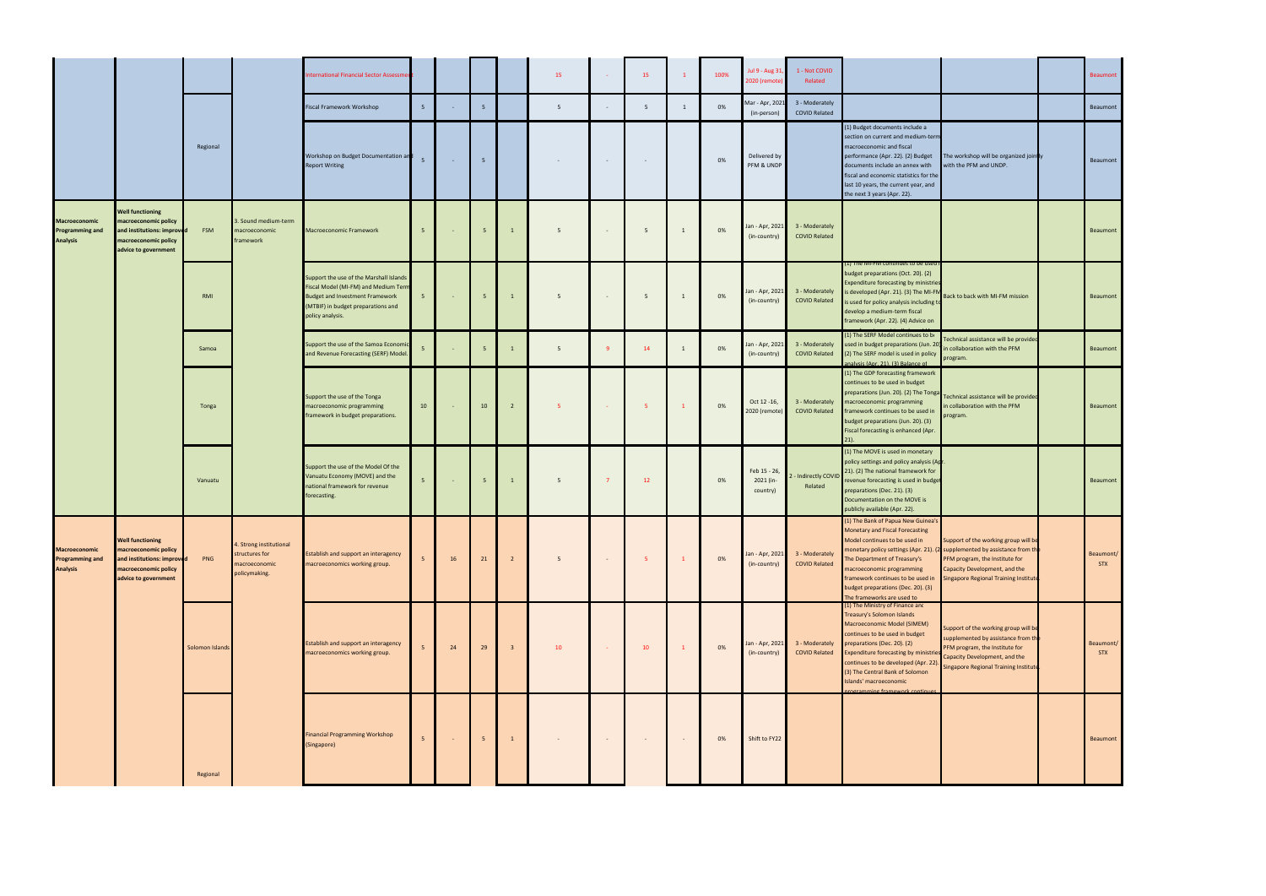|                                                                   |                                                                                                                               |                 |                                                                             | nternational Financial Sector Assessmer                                                                                                                                             |                 |                |                 |                | 15     | <b>College</b>  | 15             | $\mathbf{1}$ | 100% | Jul 9 - Aug 31,<br>2020 (remote)      | 1 - Not COVID<br>Related               |                                                                                                                                                                                                                                                                                                                                                     |                                                                                                                                                                                                                                      | Beaumont                |
|-------------------------------------------------------------------|-------------------------------------------------------------------------------------------------------------------------------|-----------------|-----------------------------------------------------------------------------|-------------------------------------------------------------------------------------------------------------------------------------------------------------------------------------|-----------------|----------------|-----------------|----------------|--------|-----------------|----------------|--------------|------|---------------------------------------|----------------------------------------|-----------------------------------------------------------------------------------------------------------------------------------------------------------------------------------------------------------------------------------------------------------------------------------------------------------------------------------------------------|--------------------------------------------------------------------------------------------------------------------------------------------------------------------------------------------------------------------------------------|-------------------------|
|                                                                   |                                                                                                                               |                 |                                                                             | Fiscal Framework Workshop                                                                                                                                                           | 5               |                | 5               |                | 5      |                 | 5              | $\mathbf{1}$ | 0%   | Mar - Apr, 2021<br>(in-person)        | 3 - Moderately<br><b>COVID Related</b> |                                                                                                                                                                                                                                                                                                                                                     |                                                                                                                                                                                                                                      | Beaumont                |
|                                                                   |                                                                                                                               | Regional        |                                                                             | Workshop on Budget Documentation and<br><b>Report Writing</b>                                                                                                                       | 5 <sup>7</sup>  | $\sim 10^{-1}$ | $5\overline{5}$ |                | $\sim$ | $\sim$ $-$      | $\sim$         |              | 0%   | Delivered by<br>PFM & UNDP            |                                        | (1) Budget documents include a<br>section on current and medium-term<br>macroeconomic and fiscal<br>performance (Apr. 22). (2) Budget<br>documents include an annex with<br>fiscal and economic statistics for the<br>last 10 years, the current year, and<br>the next 3 years (Apr. 22).                                                           | The workshop will be organized join ly<br>with the PFM and UNDP.                                                                                                                                                                     | Beaumont                |
| Macroeconomic<br><b>Programming and</b><br><b>Analysis</b>        | <b>Well functioning</b><br>macroeconomic policy<br>and institutions: improved<br>macroeconomic policy<br>advice to government | <b>FSM</b>      | 3. Sound medium-term<br>macroeconomic<br>framework                          | Macroeconomic Framework                                                                                                                                                             | 5 <sup>7</sup>  | $\sim$         | 5 <sup>5</sup>  | $\mathbf{1}$   | 5      | $\sim$          | 5 <sup>5</sup> | $\mathbf{1}$ | 0%   | Jan - Apr, 2021<br>(in-country)       | 3 - Moderately<br><b>COVID Related</b> |                                                                                                                                                                                                                                                                                                                                                     |                                                                                                                                                                                                                                      | Beaumont                |
|                                                                   |                                                                                                                               | RMI             |                                                                             | Support the use of the Marshall Islands<br>Fiscal Model (MI-FM) and Medium Term<br><b>Budget and Investment Framework</b><br>(MTBIF) in budget preparations and<br>policy analysis. | 5 <sup>7</sup>  | $\sim$ $-$     | $5\overline{5}$ | $\mathbf{1}$   | 5      |                 | 5 <sup>5</sup> | $\mathbf{1}$ | 0%   | Jan - Apr, 2021<br>(in-country)       | 3 - Moderately<br><b>COVID Related</b> | (1) The MI-FM continues to be used<br>budget preparations (Oct. 20). (2)<br><b>Expenditure forecasting by ministries</b><br>is developed (Apr. 21). (3) The MI-FM<br>is used for policy analysis including to<br>develop a medium-term fiscal<br>framework (Apr. 22). (4) Advice on                                                                 | Back to back with MI-FM mission                                                                                                                                                                                                      | Beaumont                |
|                                                                   |                                                                                                                               | Samoa           |                                                                             | Support the use of the Samoa Economic<br>and Revenue Forecasting (SERF) Model.                                                                                                      | $\overline{5}$  |                | 5               | $\mathbf{1}$   | 5      |                 | 14             | 1            | 0%   | Jan - Apr, 2021<br>(in-country)       | 3 - Moderately<br><b>COVID Related</b> | (1) The SERF Model continues to b<br>used in budget preparations (Jun. 20<br>(2) The SERF model is used in policy<br>analysis (Apr. 21). (3) Balance of                                                                                                                                                                                             | Technical assistance will be provided<br>n collaboration with the PFM<br>program.                                                                                                                                                    | Beaumont                |
|                                                                   |                                                                                                                               | Tonga           |                                                                             | Support the use of the Tonga<br>macroeconomic programming<br>framework in budget preparations.                                                                                      | 10 <sub>1</sub> | $\sim$         | 10              | $\overline{2}$ | 5      | <b>Contract</b> | 5 <sup>2</sup> | $\mathbf{1}$ | 0%   | Oct 12 -16,<br>2020 (remote)          | 3 - Moderately<br><b>COVID Related</b> | (1) The GDP forecasting framework<br>continues to be used in budget<br>preparations (Jun. 20). (2) The Tonga<br>macroeconomic programming<br>framework continues to be used in<br>budget preparations (Jun. 20). (3)<br>Fiscal forecasting is enhanced (Apr.<br>$21$ ).                                                                             | Technical assistance will be provided<br>n collaboration with the PFM<br>program.                                                                                                                                                    | Beaumont                |
|                                                                   |                                                                                                                               | Vanuatu         |                                                                             | Support the use of the Model Of the<br>Vanuatu Economy (MOVE) and the<br>national framework for revenue<br>forecasting.                                                             | 5 <sup>5</sup>  | $\sim$ $-$     | 5 <sub>5</sub>  | $\mathbf{1}$   | 5      | $\overline{7}$  | 12             |              | 0%   | Feb 15 - 26,<br>2021 (in-<br>country) | - Indirectly COVID<br>Related          | (1) The MOVE is used in monetary<br>policy settings and policy analysis (Ap<br>21). (2) The national framework for<br>revenue forecasting is used in budget<br>preparations (Dec. 21). (3)<br>Documentation on the MOVE is<br>publicly available (Apr. 22).                                                                                         |                                                                                                                                                                                                                                      | Beaumont                |
| <b>Macroeconomic</b><br><b>Programming and</b><br><b>Analysis</b> | <b>Well functioning</b><br>macroeconomic policy<br>and institutions: improve<br>macroeconomic policy<br>advice to government  | PNG             | 4. Strong institutional<br>structures for<br>macroeconomic<br>policymaking. | Establish and support an interagency<br>macroeconomics working group.                                                                                                               |                 | 16             | 21              | $\overline{2}$ | 5      | $\sim$          | 5 <sup>2</sup> | $\mathbf{1}$ | 0%   | Jan - Apr, 2021<br>(in-country)       | 3 - Moderately<br><b>COVID Related</b> | (1) The Bank of Papua New Guinea's<br>Monetary and Fiscal Forecasting<br>Model continues to be used in<br>The Department of Treasury's<br>macroeconomic programming<br>framework continues to be used in<br>budget preparations (Dec. 20). (3)<br>The frameworks are used to                                                                        | Support of the working group will be<br>monetary policy settings (Apr. 21). (2 supplemented by assistance from th<br>PFM program, the Institute for<br>Capacity Development, and the<br><b>Singapore Regional Training Institute</b> | Beaumont/<br><b>STX</b> |
|                                                                   |                                                                                                                               | Solomon Islands |                                                                             | Establish and support an interagency<br>macroeconomics working group.                                                                                                               |                 | 24             | 29              | $\overline{3}$ | 10     |                 | 10             | $\mathbf{1}$ | 0%   | Jan - Apr, 2021<br>(in-country)       | 3 - Moderately<br><b>COVID Related</b> | (1) The Ministry of Finance and<br>Treasury's Solomon Islands<br>Macroeconomic Model (SIMEM)<br>continues to be used in budget<br>preparations (Dec. 20). (2)<br><b>Expenditure forecasting by ministries</b><br>continues to be developed (Apr. 22).<br>(3) The Central Bank of Solomon<br>Islands' macroeconomic<br>rogramming framework continue | Support of the working group will be<br>supplemented by assistance from th<br>PFM program, the Institute for<br>Capacity Development, and the<br>Singapore Regional Training Institute                                               | Beaumont/<br><b>STX</b> |
|                                                                   |                                                                                                                               | Regional        |                                                                             | <b>Financial Programming Workshop</b><br>(Singapore)                                                                                                                                |                 |                | 5               | $\mathbf{1}$   |        | $\sim$          | $\sim$         | $\sim$       | 0%   | Shift to FY22                         |                                        |                                                                                                                                                                                                                                                                                                                                                     |                                                                                                                                                                                                                                      | Beaumont                |